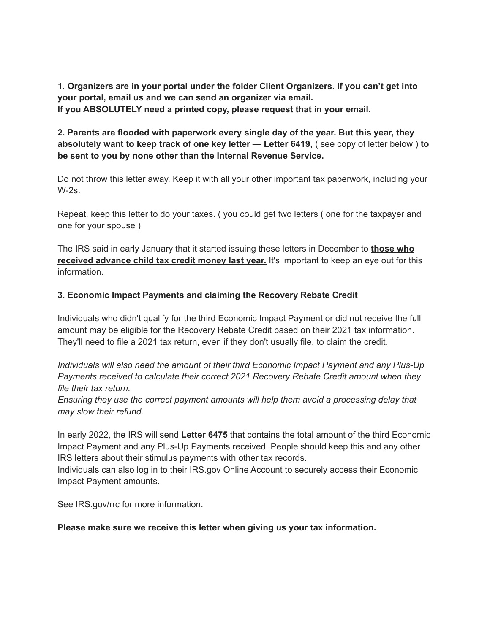1. **Organizers are in your portal under the folder Client Organizers. If you can't get into your portal, email us and we can send an organizer via email. If you ABSOLUTELY need a printed copy, please request that in your email.**

**2. Parents are flooded with paperwork every single day of the year. But this year, they absolutely want to keep track of one key letter — Letter 6419,** ( see copy of letter below ) **to be sent to you by none other than the Internal Revenue Service.**

Do not throw this letter away. Keep it with all your other important tax paperwork, including your W-2s.

Repeat, keep this letter to do your taxes. ( you could get two letters ( one for the taxpayer and one for your spouse )

The IRS said in early January that it started issuing these letters in December to **those who received advance child tax credit money last year.** It's important to keep an eye out for this information.

## **3. Economic Impact Payments and claiming the Recovery Rebate Credit**

Individuals who didn't qualify for the third Economic Impact Payment or did not receive the full amount may be eligible for the Recovery Rebate Credit based on their 2021 tax information. They'll need to file a 2021 tax return, even if they don't usually file, to claim the credit.

*Individuals will also need the amount of their third Economic Impact Payment and any Plus-Up Payments received to calculate their correct 2021 Recovery Rebate Credit amount when they file their tax return.*

*Ensuring they use the correct payment amounts will help them avoid a processing delay that may slow their refund.*

In early 2022, the IRS will send **Letter 6475** that contains the total amount of the third Economic Impact Payment and any Plus-Up Payments received. People should keep this and any other IRS letters about their stimulus payments with other tax records.

Individuals can also log in to their IRS.gov Online Account to securely access their Economic Impact Payment amounts.

See IRS.gov/rrc for more information.

## **Please make sure we receive this letter when giving us your tax information.**